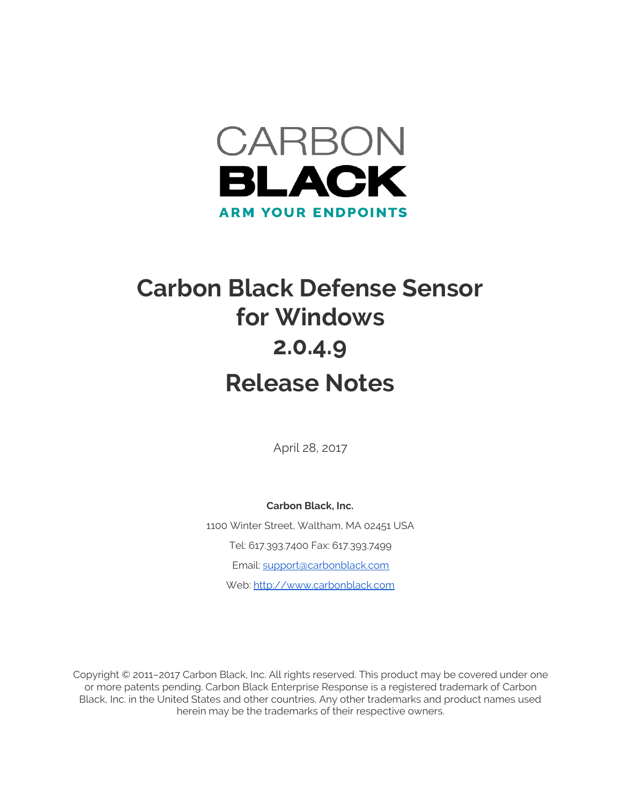

## **Carbon Black Defense Sensor for Windows 2.0.4.9 Release Notes**

April 28, 2017

**Carbon Black, Inc.** 1100 Winter Street, Waltham, MA 02451 USA Tel: 617.393.7400 Fax: 617.393.7499 Email: [support@carbonblack.com](mailto:support@carbonblack.com) Web: [http://www.carbonblack.com](http://www.carbonblack.com/)

Copyright © 2011–2017 Carbon Black, Inc. All rights reserved. This product may be covered under one or more patents pending. Carbon Black Enterprise Response is a registered trademark of Carbon Black, Inc. in the United States and other countries. Any other trademarks and product names used herein may be the trademarks of their respective owners.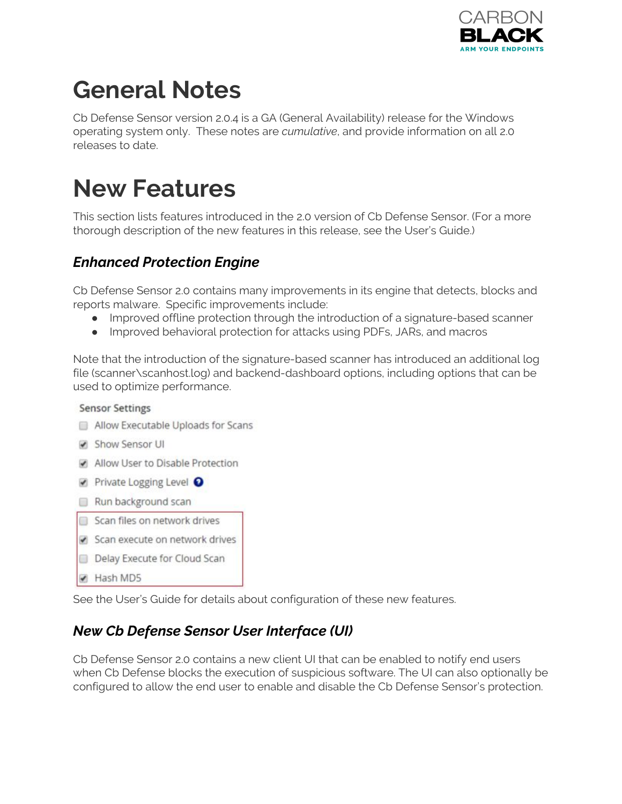

# **General Notes**

Cb Defense Sensor version 2.0.4 is a GA (General Availability) release for the Windows operating system only. These notes are *cumulative*, and provide information on all 2.0 releases to date.

### **New Features**

This section lists features introduced in the 2.0 version of Cb Defense Sensor. (For a more thorough description of the new features in this release, see the User's Guide.)

#### *Enhanced Protection Engine*

Cb Defense Sensor 2.0 contains many improvements in its engine that detects, blocks and reports malware. Specific improvements include:

- Improved offline protection through the introduction of a signature-based scanner
- Improved behavioral protection for attacks using PDFs, JARs, and macros

Note that the introduction of the signature-based scanner has introduced an additional log file (scanner\scanhost.log) and backend-dashboard options, including options that can be used to optimize performance.

#### **Sensor Settings**

- Allow Executable Uploads for Scans
- Show Sensor UI
- Allow User to Disable Protection
- Private Logging Level <sup>O</sup>
- Run background scan
- Scan files on network drives
- Scan execute on network drives
- Delay Execute for Cloud Scan
- Hash MD5

See the User's Guide for details about configuration of these new features.

#### *New Cb Defense Sensor User Interface (UI)*

Cb Defense Sensor 2.0 contains a new client UI that can be enabled to notify end users when Cb Defense blocks the execution of suspicious software. The UI can also optionally be configured to allow the end user to enable and disable the Cb Defense Sensor's protection.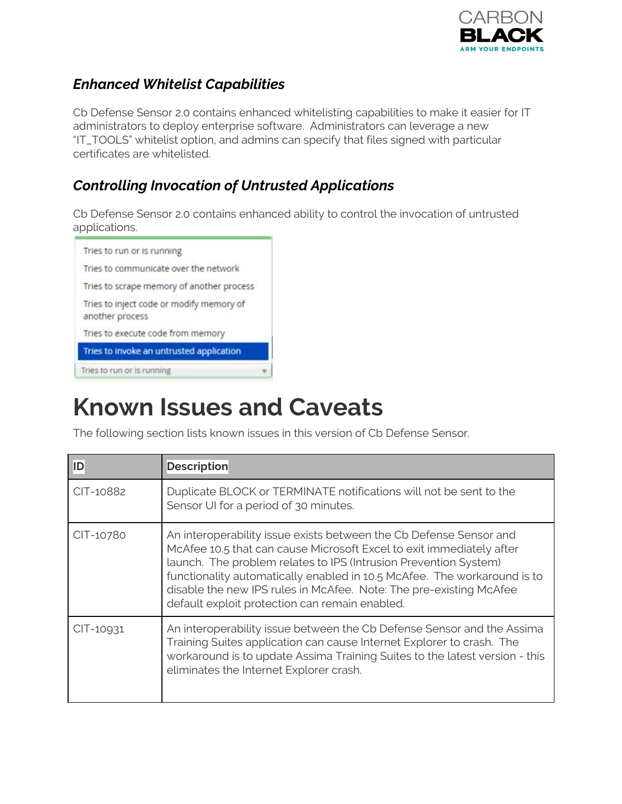

#### *Enhanced Whitelist Capabilities*

Cb Defense Sensor 2.0 contains enhanced whitelisting capabilities to make it easier for IT administrators to deploy enterprise software. Administrators can leverage a new "IT\_TOOLS" whitelist option, and admins can specify that files signed with particular certificates are whitelisted.

### *Controlling Invocation of Untrusted Applications*

Cb Defense Sensor 2.0 contains enhanced ability to control the invocation of untrusted applications.



### **Known Issues and Caveats**

The following section lists known issues in this version of Cb Defense Sensor.

| <b>ID</b> | <b>Description</b>                                                                                                                                                                                                                                                                                                                                                                                                 |
|-----------|--------------------------------------------------------------------------------------------------------------------------------------------------------------------------------------------------------------------------------------------------------------------------------------------------------------------------------------------------------------------------------------------------------------------|
| CIT-10882 | Duplicate BLOCK or TERMINATE notifications will not be sent to the<br>Sensor UI for a period of 30 minutes.                                                                                                                                                                                                                                                                                                        |
| CIT-10780 | An interoperability issue exists between the Cb Defense Sensor and<br>McAfee 10.5 that can cause Microsoft Excel to exit immediately after<br>launch. The problem relates to IPS (Intrusion Prevention System)<br>functionality automatically enabled in 10.5 McAfee. The workaround is to<br>disable the new IPS rules in McAfee. Note: The pre-existing McAfee<br>default exploit protection can remain enabled. |
| CIT-10931 | An interoperability issue between the Cb Defense Sensor and the Assima<br>Training Suites application can cause Internet Explorer to crash. The<br>workaround is to update Assima Training Suites to the latest version - this<br>eliminates the Internet Explorer crash.                                                                                                                                          |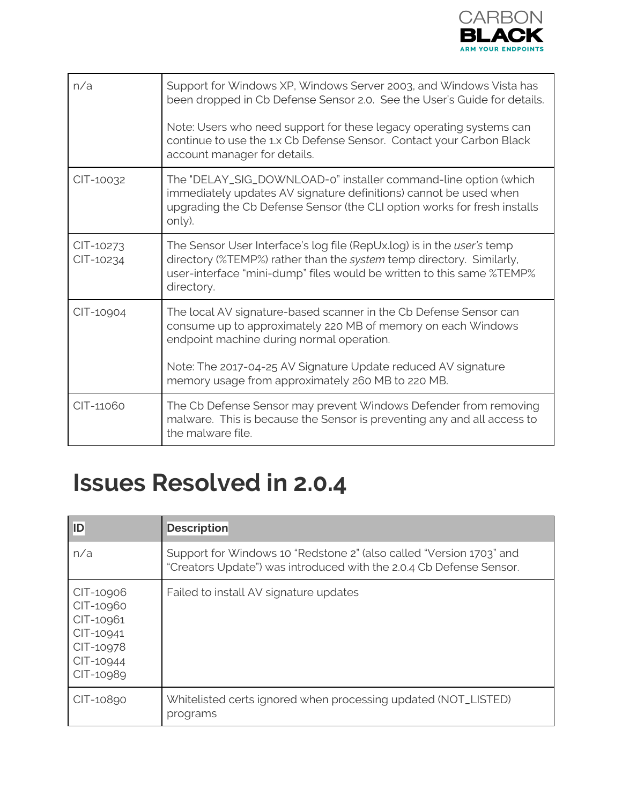

| n/a                    | Support for Windows XP, Windows Server 2003, and Windows Vista has<br>been dropped in Cb Defense Sensor 2.0. See the User's Guide for details.<br>Note: Users who need support for these legacy operating systems can<br>continue to use the 1.x Cb Defense Sensor. Contact your Carbon Black<br>account manager for details. |
|------------------------|-------------------------------------------------------------------------------------------------------------------------------------------------------------------------------------------------------------------------------------------------------------------------------------------------------------------------------|
| CIT-10032              | The "DELAY_SIG_DOWNLOAD=0" installer command-line option (which<br>immediately updates AV signature definitions) cannot be used when<br>upgrading the Cb Defense Sensor (the CLI option works for fresh installs<br>only).                                                                                                    |
| CIT-10273<br>CIT-10234 | The Sensor User Interface's log file (RepUx.log) is in the user's temp<br>directory (%TEMP%) rather than the system temp directory. Similarly,<br>user-interface "mini-dump" files would be written to this same %TEMP%<br>directory.                                                                                         |
| CIT-10904              | The local AV signature-based scanner in the Cb Defense Sensor can<br>consume up to approximately 220 MB of memory on each Windows<br>endpoint machine during normal operation.<br>Note: The 2017-04-25 AV Signature Update reduced AV signature<br>memory usage from approximately 260 MB to 220 MB.                          |
| CIT-11060              | The Cb Defense Sensor may prevent Windows Defender from removing<br>malware. This is because the Sensor is preventing any and all access to<br>the malware file.                                                                                                                                                              |

### **Issues Resolved in 2.0.4**

| ID                                                                                      | <b>Description</b>                                                                                                                         |
|-----------------------------------------------------------------------------------------|--------------------------------------------------------------------------------------------------------------------------------------------|
| n/a                                                                                     | Support for Windows 10 "Redstone 2" (also called "Version 1703" and<br>"Creators Update") was introduced with the 2.0.4 Cb Defense Sensor. |
| CIT-10906<br>CIT-10960<br>CIT-10961<br>CIT-10941<br>CIT-10978<br>CIT-10944<br>CIT-10989 | Failed to install AV signature updates                                                                                                     |
| CIT-10890                                                                               | Whitelisted certs ignored when processing updated (NOT_LISTED)<br>programs                                                                 |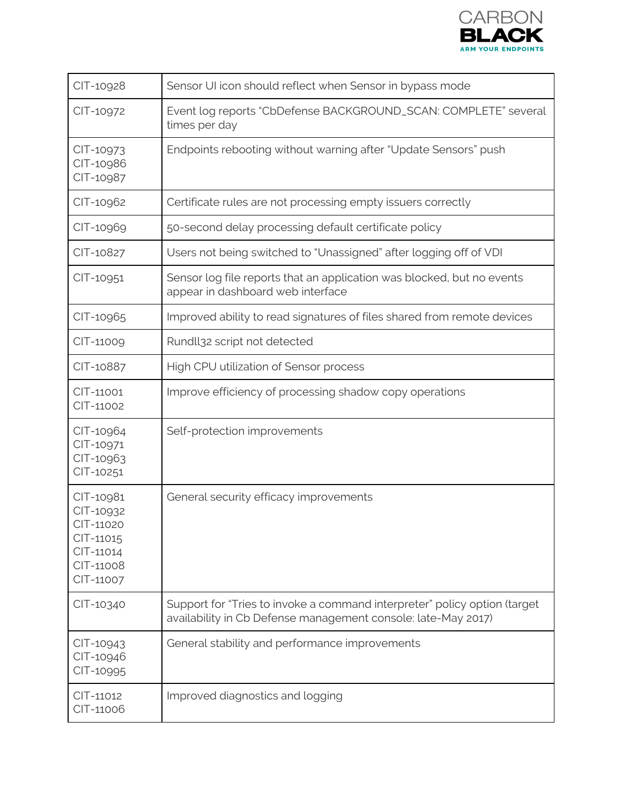

| CIT-10928                                                                               | Sensor UI icon should reflect when Sensor in bypass mode                                                                                   |
|-----------------------------------------------------------------------------------------|--------------------------------------------------------------------------------------------------------------------------------------------|
| CIT-10972                                                                               | Event log reports "CbDefense BACKGROUND_SCAN: COMPLETE" several<br>times per day                                                           |
| CIT-10973<br>CIT-10986<br>CIT-10987                                                     | Endpoints rebooting without warning after "Update Sensors" push                                                                            |
| CIT-10962                                                                               | Certificate rules are not processing empty issuers correctly                                                                               |
| CIT-10969                                                                               | 50-second delay processing default certificate policy                                                                                      |
| CIT-10827                                                                               | Users not being switched to "Unassigned" after logging off of VDI                                                                          |
| CIT-10951                                                                               | Sensor log file reports that an application was blocked, but no events<br>appear in dashboard web interface                                |
| CIT-10965                                                                               | Improved ability to read signatures of files shared from remote devices                                                                    |
| CIT-11009                                                                               | Rundll32 script not detected                                                                                                               |
| CIT-10887                                                                               | High CPU utilization of Sensor process                                                                                                     |
| CIT-11001<br>CIT-11002                                                                  | Improve efficiency of processing shadow copy operations                                                                                    |
| CIT-10964<br>CIT-10971<br>CIT-10963<br>CIT-10251                                        | Self-protection improvements                                                                                                               |
| CIT-10981<br>CIT-10932<br>CIT-11020<br>CIT-11015<br>CIT-11014<br>CIT-11008<br>CIT-11007 | General security efficacy improvements                                                                                                     |
| CIT-10340                                                                               | Support for "Tries to invoke a command interpreter" policy option (target<br>availability in Cb Defense management console: late-May 2017) |
| CIT-10943<br>CIT-10946<br>CIT-10995                                                     | General stability and performance improvements                                                                                             |
| CIT-11012<br>CIT-11006                                                                  | Improved diagnostics and logging                                                                                                           |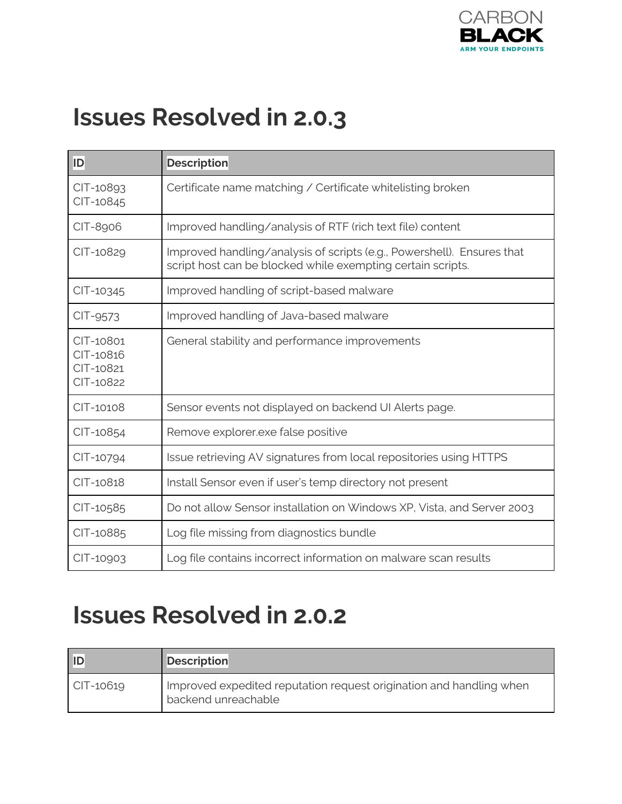

### **Issues Resolved in 2.0.3**

| <b>ID</b>                                        | <b>Description</b>                                                                                                                    |
|--------------------------------------------------|---------------------------------------------------------------------------------------------------------------------------------------|
| CIT-10893<br>CIT-10845                           | Certificate name matching / Certificate whitelisting broken                                                                           |
| CIT-8906                                         | Improved handling/analysis of RTF (rich text file) content                                                                            |
| CIT-10829                                        | Improved handling/analysis of scripts (e.g., Powershell). Ensures that<br>script host can be blocked while exempting certain scripts. |
| CIT-10345                                        | Improved handling of script-based malware                                                                                             |
| CIT-9573                                         | Improved handling of Java-based malware                                                                                               |
| CIT-10801<br>CIT-10816<br>CIT-10821<br>CIT-10822 | General stability and performance improvements                                                                                        |
| CIT-10108                                        | Sensor events not displayed on backend UI Alerts page.                                                                                |
| CIT-10854                                        | Remove explorer exe false positive                                                                                                    |
| CIT-10794                                        | Issue retrieving AV signatures from local repositories using HTTPS                                                                    |
| CIT-10818                                        | Install Sensor even if user's temp directory not present                                                                              |
| CIT-10585                                        | Do not allow Sensor installation on Windows XP, Vista, and Server 2003                                                                |
| CIT-10885                                        | Log file missing from diagnostics bundle                                                                                              |
| CIT-10903                                        | Log file contains incorrect information on malware scan results                                                                       |

### **Issues Resolved in 2.0.2**

| ID        | <b>Description</b>                                                                         |
|-----------|--------------------------------------------------------------------------------------------|
| CIT-10619 | Improved expedited reputation request origination and handling when<br>backend unreachable |